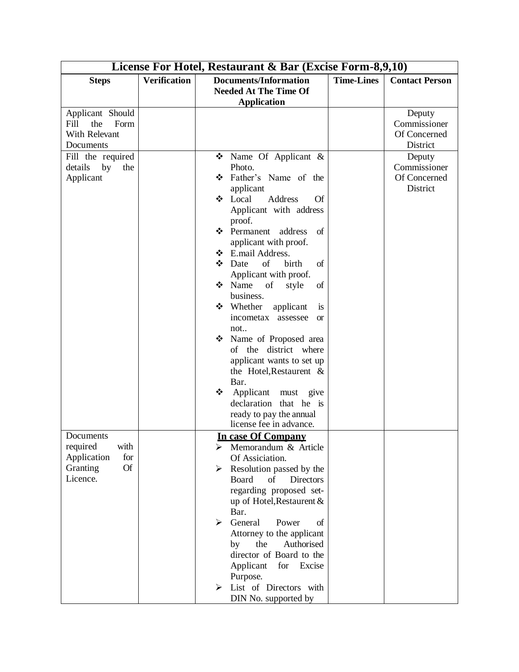| License For Hotel, Restaurant & Bar (Excise Form-8,9,10) |                     |                                                         |                   |                       |  |  |
|----------------------------------------------------------|---------------------|---------------------------------------------------------|-------------------|-----------------------|--|--|
| <b>Steps</b>                                             | <b>Verification</b> | <b>Documents/Information</b>                            | <b>Time-Lines</b> | <b>Contact Person</b> |  |  |
|                                                          |                     | <b>Needed At The Time Of</b>                            |                   |                       |  |  |
|                                                          |                     | <b>Application</b>                                      |                   |                       |  |  |
| Applicant Should                                         |                     |                                                         |                   | Deputy                |  |  |
| Fill<br>the<br>Form                                      |                     |                                                         |                   | Commissioner          |  |  |
| With Relevant                                            |                     |                                                         |                   | Of Concerned          |  |  |
| Documents                                                |                     |                                                         |                   | District              |  |  |
| Fill the required                                        |                     | • Name Of Applicant &                                   |                   | Deputy                |  |  |
| details<br>by<br>the                                     |                     | Photo.                                                  |                   | Commissioner          |  |  |
| Applicant                                                |                     | Father's Name of the<br>❖                               |                   | Of Concerned          |  |  |
|                                                          |                     | applicant                                               |                   | District              |  |  |
|                                                          |                     | Local<br>Address<br><b>Of</b><br>❖                      |                   |                       |  |  |
|                                                          |                     | Applicant with address                                  |                   |                       |  |  |
|                                                          |                     | proof.<br>❖ Permanent address                           |                   |                       |  |  |
|                                                          |                     | of                                                      |                   |                       |  |  |
|                                                          |                     | applicant with proof.<br>❖ E.mail Address.              |                   |                       |  |  |
|                                                          |                     | of<br>❖<br>of<br>Date<br>birth                          |                   |                       |  |  |
|                                                          |                     | Applicant with proof.                                   |                   |                       |  |  |
|                                                          |                     | Name<br>❖<br>of<br>of<br>style                          |                   |                       |  |  |
|                                                          |                     | business.                                               |                   |                       |  |  |
|                                                          |                     | ❖ Whether<br>applicant<br>is                            |                   |                       |  |  |
|                                                          |                     | incometax assessee<br><b>or</b>                         |                   |                       |  |  |
|                                                          |                     | not                                                     |                   |                       |  |  |
|                                                          |                     | Name of Proposed area<br>❖                              |                   |                       |  |  |
|                                                          |                     | of the district where                                   |                   |                       |  |  |
|                                                          |                     | applicant wants to set up                               |                   |                       |  |  |
|                                                          |                     | the Hotel, Restaurent $\&$                              |                   |                       |  |  |
|                                                          |                     | Bar.                                                    |                   |                       |  |  |
|                                                          |                     | Applicant must give<br>❖                                |                   |                       |  |  |
|                                                          |                     | declaration that he is                                  |                   |                       |  |  |
|                                                          |                     | ready to pay the annual                                 |                   |                       |  |  |
|                                                          |                     | license fee in advance.                                 |                   |                       |  |  |
| Documents                                                |                     | In case Of Company                                      |                   |                       |  |  |
| with<br>required                                         |                     | Memorandum & Article<br>➤                               |                   |                       |  |  |
| Application<br>for                                       |                     | Of Assiciation.                                         |                   |                       |  |  |
| <b>Of</b><br>Granting                                    |                     | Resolution passed by the<br>➤                           |                   |                       |  |  |
| Licence.                                                 |                     | Board<br>Directors<br>of                                |                   |                       |  |  |
|                                                          |                     | regarding proposed set-                                 |                   |                       |  |  |
|                                                          |                     | up of Hotel, Restaurent &                               |                   |                       |  |  |
|                                                          |                     | Bar.<br>$\blacktriangleright$<br>General<br>Power<br>of |                   |                       |  |  |
|                                                          |                     | Attorney to the applicant                               |                   |                       |  |  |
|                                                          |                     | the<br>Authorised<br>by                                 |                   |                       |  |  |
|                                                          |                     | director of Board to the                                |                   |                       |  |  |
|                                                          |                     | Applicant<br>for<br>Excise                              |                   |                       |  |  |
|                                                          |                     | Purpose.                                                |                   |                       |  |  |
|                                                          |                     | List of Directors with<br>➤                             |                   |                       |  |  |
|                                                          |                     | DIN No. supported by                                    |                   |                       |  |  |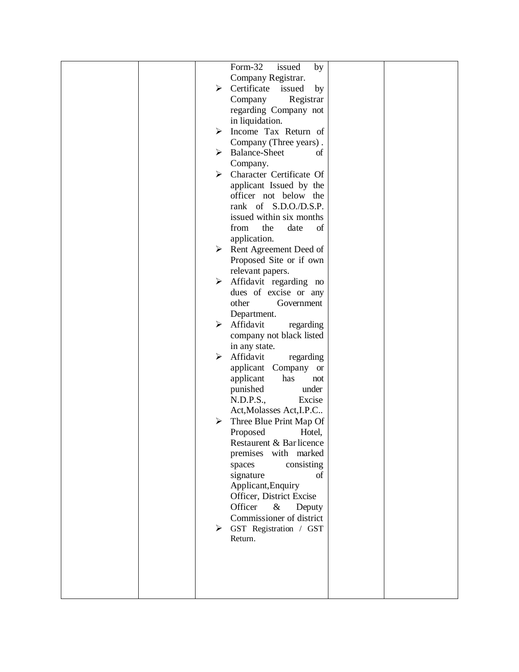|  |   | Form-32<br>issued<br>by                   |  |
|--|---|-------------------------------------------|--|
|  |   | Company Registrar.                        |  |
|  |   | $\triangleright$ Certificate issued<br>by |  |
|  |   | Registrar<br>Company                      |  |
|  |   | regarding Company not                     |  |
|  |   | in liquidation.                           |  |
|  |   | $\triangleright$ Income Tax Return of     |  |
|  |   | Company (Three years).                    |  |
|  |   | > Balance-Sheet<br>of                     |  |
|  |   | Company.                                  |  |
|  |   | $\triangleright$ Character Certificate Of |  |
|  |   | applicant Issued by the                   |  |
|  |   | officer not below the                     |  |
|  |   | rank of S.D.O./D.S.P.                     |  |
|  |   | issued within six months                  |  |
|  |   | the<br>from<br>date<br>of                 |  |
|  |   | application.                              |  |
|  | ≻ | Rent Agreement Deed of                    |  |
|  |   | Proposed Site or if own                   |  |
|  |   | relevant papers.                          |  |
|  | ≻ | Affidavit regarding no                    |  |
|  |   | dues of excise or any                     |  |
|  |   | other<br>Government                       |  |
|  |   | Department.                               |  |
|  | ≻ | Affidavit<br>regarding                    |  |
|  |   | company not black listed                  |  |
|  |   | in any state.                             |  |
|  | ➤ | Affidavit<br>regarding                    |  |
|  |   | applicant Company or                      |  |
|  |   | applicant<br>has<br>not                   |  |
|  |   | punished<br>under                         |  |
|  |   | N.D.P.S.,<br>Excise                       |  |
|  |   | Act, Molasses Act, I.P.C                  |  |
|  | ➤ | Three Blue Print Map Of                   |  |
|  |   | Proposed<br>Hotel,                        |  |
|  |   | Restaurent & Bar licence                  |  |
|  |   | premises with marked                      |  |
|  |   | consisting<br>spaces                      |  |
|  |   | signature<br>of                           |  |
|  |   | Applicant, Enquiry                        |  |
|  |   | Officer, District Excise                  |  |
|  |   | Officer<br>$\&$<br>Deputy                 |  |
|  |   | Commissioner of district                  |  |
|  |   | $\triangleright$ GST Registration / GST   |  |
|  |   | Return.                                   |  |
|  |   |                                           |  |
|  |   |                                           |  |
|  |   |                                           |  |
|  |   |                                           |  |
|  |   |                                           |  |
|  |   |                                           |  |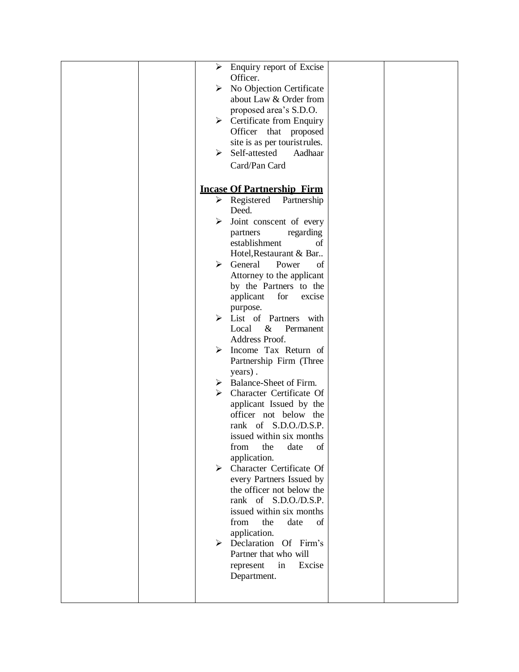| Enquiry report of Excise<br>≻                          |  |
|--------------------------------------------------------|--|
| Officer.                                               |  |
| No Objection Certificate<br>➤                          |  |
| about Law & Order from                                 |  |
| proposed area's S.D.O.                                 |  |
| $\triangleright$ Certificate from Enquiry              |  |
| Officer<br>that<br>proposed                            |  |
| site is as per touristrules.                           |  |
| Self-attested<br>➤<br>Aadhaar                          |  |
| Card/Pan Card                                          |  |
|                                                        |  |
| <b>Incase Of Partnership Firm</b>                      |  |
| $\triangleright$ Registered Partnership                |  |
| Deed.                                                  |  |
| Joint conscent of every<br>≻                           |  |
| partners<br>regarding                                  |  |
| establishment<br>of                                    |  |
| Hotel, Restaurant & Bar                                |  |
| General<br>Power<br>of<br>≻                            |  |
|                                                        |  |
| Attorney to the applicant<br>by the Partners to the    |  |
| for<br>excise                                          |  |
| applicant                                              |  |
| purpose.<br>$\triangleright$ List of Partners with     |  |
| $\&$<br>Permanent<br>Local                             |  |
| Address Proof.                                         |  |
| Income Tax Return of<br>➤                              |  |
| Partnership Firm (Three                                |  |
|                                                        |  |
| years).<br>Balance-Sheet of Firm.<br>➤                 |  |
| Character Certificate Of<br>≻                          |  |
| applicant Issued by the                                |  |
| officer not below the                                  |  |
| rank of S.D.O./D.S.P.                                  |  |
| issued within six months                               |  |
| from<br>the<br>date<br>of                              |  |
| application.                                           |  |
| Character Certificate Of<br>≻                          |  |
| every Partners Issued by                               |  |
| the officer not below the                              |  |
| rank of S.D.O./D.S.P.                                  |  |
| issued within six months                               |  |
| the<br>date<br>of<br>from                              |  |
|                                                        |  |
| application.<br>$\triangleright$ Declaration Of Firm's |  |
| Partner that who will                                  |  |
|                                                        |  |
| Excise<br>represent<br>in                              |  |
| Department.                                            |  |
|                                                        |  |
|                                                        |  |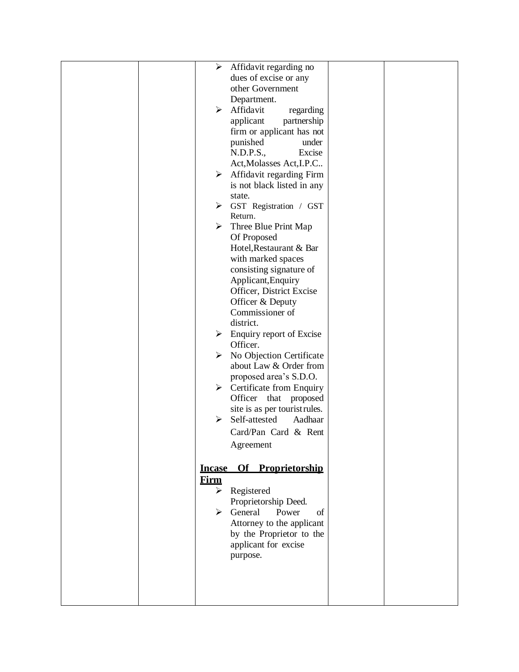|  | $\blacktriangleright$ | Affidavit regarding no                    |  |
|--|-----------------------|-------------------------------------------|--|
|  |                       | dues of excise or any                     |  |
|  |                       | other Government                          |  |
|  |                       | Department.                               |  |
|  | ➤                     | Affidavit<br>regarding                    |  |
|  |                       | applicant<br>partnership                  |  |
|  |                       | firm or applicant has not                 |  |
|  |                       | punished<br>under                         |  |
|  |                       | N.D.P.S.,<br>Excise                       |  |
|  |                       | Act, Molasses Act, I.P.C                  |  |
|  | $\blacktriangleright$ | Affidavit regarding Firm                  |  |
|  |                       | is not black listed in any                |  |
|  |                       | state.                                    |  |
|  | ≻                     | GST Registration / GST                    |  |
|  |                       | Return.                                   |  |
|  | ➤                     | Three Blue Print Map                      |  |
|  |                       | Of Proposed                               |  |
|  |                       | Hotel, Restaurant & Bar                   |  |
|  |                       | with marked spaces                        |  |
|  |                       | consisting signature of                   |  |
|  |                       | Applicant, Enquiry                        |  |
|  |                       | Officer, District Excise                  |  |
|  |                       | Officer & Deputy                          |  |
|  |                       | Commissioner of                           |  |
|  |                       | district.                                 |  |
|  |                       | $\triangleright$ Enquiry report of Excise |  |
|  |                       | Officer.                                  |  |
|  | ➤                     | No Objection Certificate                  |  |
|  |                       | about Law & Order from                    |  |
|  |                       | proposed area's S.D.O.                    |  |
|  | ≻                     | Certificate from Enquiry                  |  |
|  |                       | Officer<br>that<br>proposed               |  |
|  |                       | site is as per tourist rules.             |  |
|  | ≻                     | Self-attested<br>Aadhaar                  |  |
|  |                       | Card/Pan Card & Rent                      |  |
|  |                       | Agreement                                 |  |
|  |                       |                                           |  |
|  |                       | Incase Of Proprietorship                  |  |
|  | <b>Firm</b>           |                                           |  |
|  | ≻                     | Registered                                |  |
|  |                       | Proprietorship Deed.                      |  |
|  |                       | $\triangleright$ General<br>Power<br>of   |  |
|  |                       | Attorney to the applicant                 |  |
|  |                       | by the Proprietor to the                  |  |
|  |                       | applicant for excise                      |  |
|  |                       | purpose.                                  |  |
|  |                       |                                           |  |
|  |                       |                                           |  |
|  |                       |                                           |  |
|  |                       |                                           |  |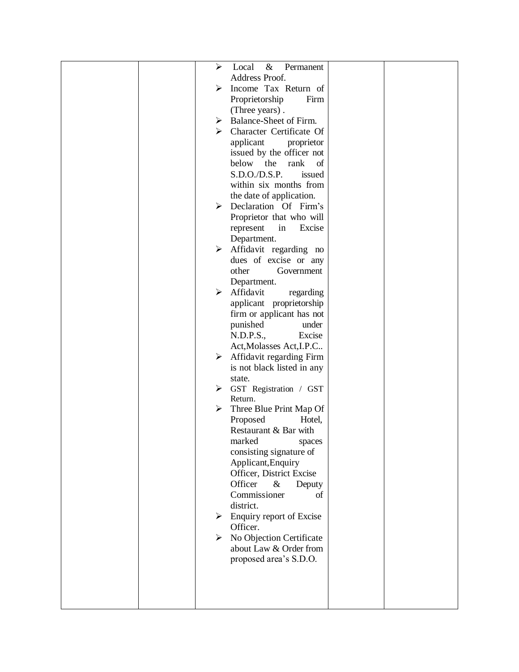|  | ➤ | $\&$<br>Local<br>Permanent              |  |
|--|---|-----------------------------------------|--|
|  |   | Address Proof.                          |  |
|  | ➤ | Income Tax Return of                    |  |
|  |   |                                         |  |
|  |   | Proprietorship<br>Firm                  |  |
|  |   | (Three years).                          |  |
|  |   | $\triangleright$ Balance-Sheet of Firm. |  |
|  | ≻ | Character Certificate Of                |  |
|  |   | applicant<br>proprietor                 |  |
|  |   | issued by the officer not               |  |
|  |   | below<br>the<br>rank<br>of              |  |
|  |   | S.D.O./D.S.P.<br>issued                 |  |
|  |   | within six months from                  |  |
|  |   | the date of application.                |  |
|  |   | > Declaration Of Firm's                 |  |
|  |   | Proprietor that who will                |  |
|  |   | in<br>Excise<br>represent               |  |
|  |   | Department.                             |  |
|  | ➤ | Affidavit regarding no                  |  |
|  |   | dues of excise or any                   |  |
|  |   | other<br>Government                     |  |
|  |   | Department.                             |  |
|  | ➤ | Affidavit<br>regarding                  |  |
|  |   | applicant proprietorship                |  |
|  |   | firm or applicant has not               |  |
|  |   | punished<br>under                       |  |
|  |   | N.D.P.S.,<br>Excise                     |  |
|  |   | Act, Molasses Act, I.P.C                |  |
|  | ➤ | Affidavit regarding Firm                |  |
|  |   | is not black listed in any              |  |
|  |   | state.                                  |  |
|  | ≻ | GST Registration / GST                  |  |
|  |   | Return.                                 |  |
|  | ➤ | Three Blue Print Map Of                 |  |
|  |   | Proposed<br>Hotel,                      |  |
|  |   | Restaurant & Bar with                   |  |
|  |   | marked spaces                           |  |
|  |   | consisting signature of                 |  |
|  |   | Applicant, Enquiry                      |  |
|  |   | Officer, District Excise                |  |
|  |   | Officer<br>$\&$<br>Deputy               |  |
|  |   | Commissioner<br>of                      |  |
|  |   | district.                               |  |
|  | ➤ | Enquiry report of Excise                |  |
|  |   | Officer.                                |  |
|  | ≻ | No Objection Certificate                |  |
|  |   | about Law & Order from                  |  |
|  |   | proposed area's S.D.O.                  |  |
|  |   |                                         |  |
|  |   |                                         |  |
|  |   |                                         |  |
|  |   |                                         |  |
|  |   |                                         |  |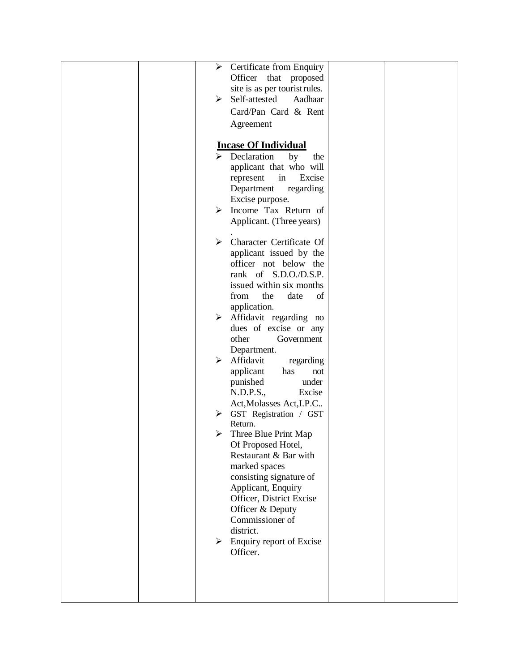| Certificate from Enquiry<br>≻                     |
|---------------------------------------------------|
|                                                   |
| Officer that proposed                             |
| site is as per touristrules.                      |
| Self-attested<br>➤<br>Aadhaar                     |
| Card/Pan Card & Rent                              |
| Agreement                                         |
|                                                   |
| <b>Incase Of Individual</b>                       |
| $\triangleright$ Declaration                      |
| by<br>the                                         |
| applicant that who will                           |
| in<br>Excise<br>represent                         |
| Department<br>regarding                           |
| Excise purpose.                                   |
| Income Tax Return of<br>≻                         |
| Applicant. (Three years)                          |
|                                                   |
| $\triangleright$ Character Certificate Of         |
| applicant issued by the                           |
| officer not below the                             |
| rank of S.D.O./D.S.P.                             |
| issued within six months                          |
| from<br>the<br>date<br>of                         |
| application.                                      |
| Affidavit regarding no<br>≻                       |
| dues of excise or any                             |
| other<br>Government                               |
| Department.                                       |
| Affidavit<br>≻<br>regarding                       |
| applicant<br>has<br>not                           |
| punished<br>under                                 |
| N.D.P.S.,<br>Excise                               |
| Act, Molasses Act, I.P.C                          |
| GST Registration / GST<br>≻                       |
| Return.                                           |
| Three Blue Print Map<br>➤                         |
| Of Proposed Hotel,                                |
| Restaurant & Bar with                             |
| marked spaces                                     |
| consisting signature of                           |
|                                                   |
| Applicant, Enquiry                                |
| Officer, District Excise                          |
| Officer & Deputy<br>Commissioner of               |
| district.                                         |
|                                                   |
| Enquiry report of Excise<br>$\blacktriangleright$ |
| Officer.                                          |
|                                                   |
|                                                   |
|                                                   |
|                                                   |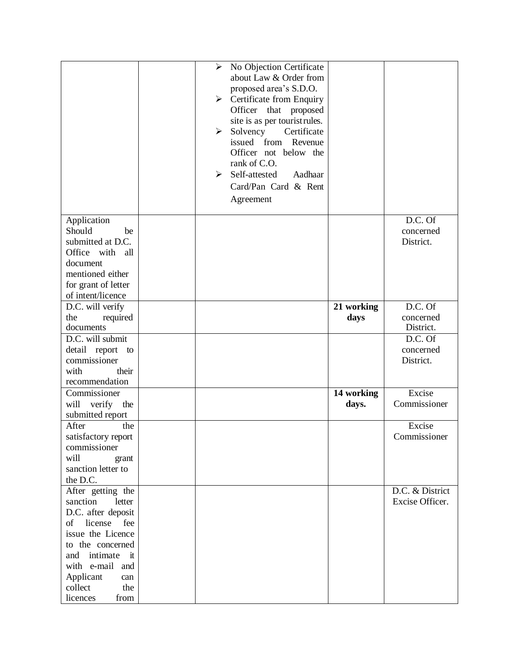|                                                                                                                                                 | No Objection Certificate<br>$\blacktriangleright$<br>about Law & Order from<br>proposed area's S.D.O.<br>$\triangleright$ Certificate from Enquiry<br>Officer that proposed<br>site is as per touristrules.<br>Solvency<br>Certificate<br>➤<br>from<br>issued<br>Revenue<br>Officer not below the<br>rank of C.O.<br>Self-attested<br>$\blacktriangleright$<br>Aadhaar<br>Card/Pan Card & Rent<br>Agreement |                     |                                    |
|-------------------------------------------------------------------------------------------------------------------------------------------------|-------------------------------------------------------------------------------------------------------------------------------------------------------------------------------------------------------------------------------------------------------------------------------------------------------------------------------------------------------------------------------------------------------------|---------------------|------------------------------------|
| Application<br>Should<br>be<br>submitted at D.C.<br>Office with all<br>document<br>mentioned either<br>for grant of letter<br>of intent/licence |                                                                                                                                                                                                                                                                                                                                                                                                             |                     | D.C. Of<br>concerned<br>District.  |
| D.C. will verify                                                                                                                                |                                                                                                                                                                                                                                                                                                                                                                                                             | 21 working          | D.C. Of                            |
| the<br>required<br>documents                                                                                                                    |                                                                                                                                                                                                                                                                                                                                                                                                             | days                | concerned<br>District.             |
| D.C. will submit<br>detail report<br>to<br>commissioner<br>with<br>their<br>recommendation                                                      |                                                                                                                                                                                                                                                                                                                                                                                                             |                     | D.C. Of<br>concerned<br>District.  |
| Commissioner<br>will verify the<br>submitted report                                                                                             |                                                                                                                                                                                                                                                                                                                                                                                                             | 14 working<br>days. | Excise<br>Commissioner             |
| After<br>the<br>satisfactory report<br>commissioner<br>will<br>grant<br>sanction letter to<br>the D.C.                                          |                                                                                                                                                                                                                                                                                                                                                                                                             |                     | Excise<br>Commissioner             |
| After getting the<br>sanction<br>letter<br>D.C. after deposit<br>of license<br>fee<br>issue the Licence<br>to the concerned<br>and intimate it  |                                                                                                                                                                                                                                                                                                                                                                                                             |                     | D.C. & District<br>Excise Officer. |
| with e-mail and<br>Applicant<br>can<br>collect<br>the<br>licences<br>from                                                                       |                                                                                                                                                                                                                                                                                                                                                                                                             |                     |                                    |